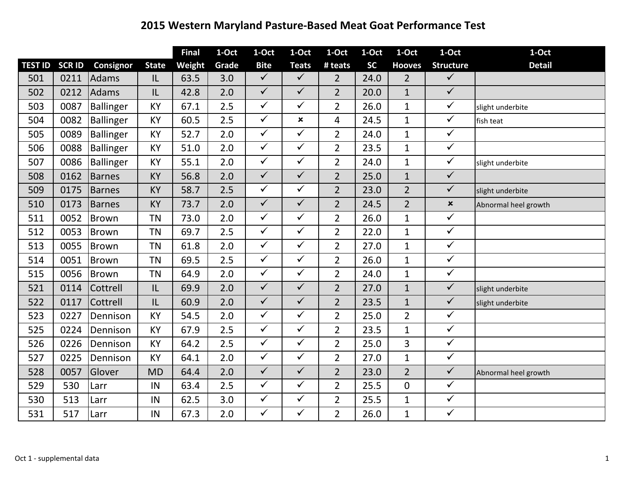## **2015 Western Maryland Pasture‐Based Meat Goat Performance Test**

|                |               |                  |              | <b>Final</b> | $1-Oct$ | 1-Oct                   | 1-Oct          | 1-Oct          | 1-Oct     | 1-Oct          | 1-Oct            | 1-Oct                |
|----------------|---------------|------------------|--------------|--------------|---------|-------------------------|----------------|----------------|-----------|----------------|------------------|----------------------|
| <b>TEST ID</b> | <b>SCR ID</b> | Consignor        | <b>State</b> | Weight       | Grade   | <b>Bite</b>             | <b>Teats</b>   | # teats        | <b>SC</b> | <b>Hooves</b>  | <b>Structure</b> | <b>Detail</b>        |
| 501            | 0211          | Adams            | IL           | 63.5         | 3.0     | $\checkmark$            | $\checkmark$   | $\overline{2}$ | 24.0      | $\overline{2}$ | $\checkmark$     |                      |
| 502            | 0212          | Adams            | IL           | 42.8         | 2.0     | $\checkmark$            | $\checkmark$   | $\overline{2}$ | 20.0      | $\mathbf{1}$   | $\sqrt{}$        |                      |
| 503            | 0087          | <b>Ballinger</b> | <b>KY</b>    | 67.1         | 2.5     | $\checkmark$            | $\checkmark$   | $\overline{2}$ | 26.0      | $\mathbf{1}$   | $\checkmark$     | slight underbite     |
| 504            | 0082          | Ballinger        | KY           | 60.5         | 2.5     | $\checkmark$            | $\pmb{\times}$ | 4              | 24.5      | $\mathbf{1}$   | $\checkmark$     | fish teat            |
| 505            | 0089          | Ballinger        | <b>KY</b>    | 52.7         | 2.0     | $\checkmark$            | $\checkmark$   | $\overline{2}$ | 24.0      | $\mathbf{1}$   | $\checkmark$     |                      |
| 506            | 0088          | Ballinger        | KY           | 51.0         | 2.0     | $\checkmark$            | $\checkmark$   | $\overline{2}$ | 23.5      | $\mathbf 1$    | $\checkmark$     |                      |
| 507            | 0086          | Ballinger        | <b>KY</b>    | 55.1         | 2.0     | $\checkmark$            | $\checkmark$   | $\overline{2}$ | 24.0      | $\mathbf{1}$   | $\checkmark$     | slight underbite     |
| 508            | 0162          | <b>Barnes</b>    | KY           | 56.8         | 2.0     | $\checkmark$            | $\checkmark$   | $\overline{2}$ | 25.0      | $\mathbf{1}$   | $\checkmark$     |                      |
| 509            | 0175          | <b>Barnes</b>    | <b>KY</b>    | 58.7         | 2.5     | $\checkmark$            | $\checkmark$   | $\overline{2}$ | 23.0      | $\overline{2}$ | $\checkmark$     | slight underbite     |
| 510            | 0173          | <b>Barnes</b>    | <b>KY</b>    | 73.7         | 2.0     | $\checkmark$            | $\checkmark$   | $\overline{2}$ | 24.5      | $\overline{2}$ | $\pmb{\times}$   | Abnormal heel growth |
| 511            | 0052          | <b>Brown</b>     | <b>TN</b>    | 73.0         | 2.0     | $\checkmark$            | $\checkmark$   | $\overline{2}$ | 26.0      | $\mathbf{1}$   | $\checkmark$     |                      |
| 512            | 0053          | Brown            | <b>TN</b>    | 69.7         | 2.5     | $\checkmark$            | $\checkmark$   | $\overline{2}$ | 22.0      | $\mathbf{1}$   | $\checkmark$     |                      |
| 513            | 0055          | <b>Brown</b>     | <b>TN</b>    | 61.8         | 2.0     | $\overline{\checkmark}$ | $\checkmark$   | $\overline{2}$ | 27.0      | $\mathbf{1}$   | $\sqrt{}$        |                      |
| 514            | 0051          | <b>Brown</b>     | <b>TN</b>    | 69.5         | 2.5     | $\checkmark$            | $\checkmark$   | $\overline{2}$ | 26.0      | $\mathbf{1}$   | $\checkmark$     |                      |
| 515            | 0056          | <b>Brown</b>     | <b>TN</b>    | 64.9         | 2.0     | $\checkmark$            | $\checkmark$   | $\overline{2}$ | 24.0      | $\mathbf{1}$   | $\checkmark$     |                      |
| 521            | 0114          | Cottrell         | IL           | 69.9         | 2.0     | $\checkmark$            | $\checkmark$   | $\overline{2}$ | 27.0      | $\mathbf{1}$   | $\checkmark$     | slight underbite     |
| 522            | 0117          | Cottrell         | IL           | 60.9         | 2.0     | $\checkmark$            | $\checkmark$   | $\overline{2}$ | 23.5      | $\mathbf{1}$   | $\checkmark$     | slight underbite     |
| 523            | 0227          | Dennison         | <b>KY</b>    | 54.5         | 2.0     | $\checkmark$            | $\checkmark$   | $\overline{2}$ | 25.0      | $\overline{2}$ | $\checkmark$     |                      |
| 525            | 0224          | Dennison         | <b>KY</b>    | 67.9         | 2.5     | $\checkmark$            | $\checkmark$   | $\overline{2}$ | 23.5      | $\mathbf{1}$   | $\checkmark$     |                      |
| 526            | 0226          | Dennison         | <b>KY</b>    | 64.2         | 2.5     | $\checkmark$            | $\checkmark$   | $\overline{2}$ | 25.0      | 3              | $\checkmark$     |                      |
| 527            | 0225          | Dennison         | <b>KY</b>    | 64.1         | 2.0     | $\checkmark$            | $\checkmark$   | $\overline{2}$ | 27.0      | $\mathbf{1}$   | $\sqrt{}$        |                      |
| 528            | 0057          | Glover           | <b>MD</b>    | 64.4         | 2.0     | $\checkmark$            | $\checkmark$   | $\overline{2}$ | 23.0      | $\overline{2}$ | $\checkmark$     | Abnormal heel growth |
| 529            | 530           | Larr             | IN           | 63.4         | 2.5     | $\checkmark$            | $\checkmark$   | $\overline{2}$ | 25.5      | $\overline{0}$ | $\checkmark$     |                      |
| 530            | 513           | Larr             | IN           | 62.5         | 3.0     | $\checkmark$            | $\checkmark$   | $\overline{2}$ | 25.5      | $\mathbf 1$    | $\checkmark$     |                      |
| 531            | 517           | Larr             | IN           | 67.3         | 2.0     | $\checkmark$            | $\checkmark$   | $\overline{2}$ | 26.0      | $\mathbf{1}$   | $\checkmark$     |                      |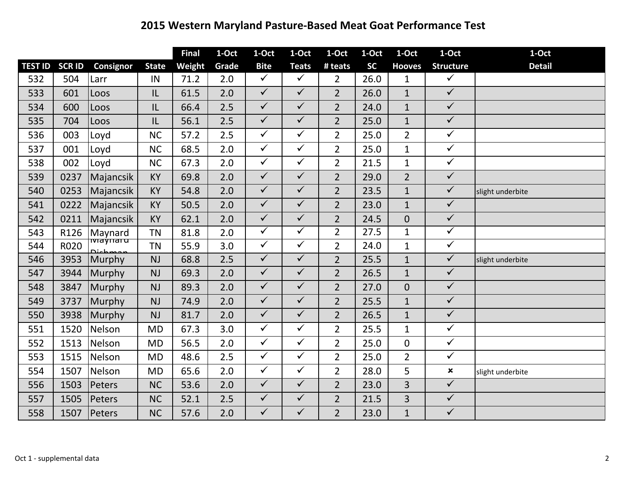## **Western Maryland Pasture‐Based Meat Goat Performance Test**

|                |               |           |              | <b>Final</b> | 1-Oct | 1-Oct                   | 1-Oct                | 1-Oct          | 1-Oct     | 1-Oct          | 1-Oct                   | 1-Oct            |
|----------------|---------------|-----------|--------------|--------------|-------|-------------------------|----------------------|----------------|-----------|----------------|-------------------------|------------------|
| <b>TEST ID</b> | <b>SCR ID</b> | Consignor | <b>State</b> | Weight       | Grade | <b>Bite</b>             | <b>Teats</b>         | # teats        | <b>SC</b> | <b>Hooves</b>  | <b>Structure</b>        | <b>Detail</b>    |
| 532            | 504           | Larr      | IN           | 71.2         | 2.0   | $\checkmark$            | $\checkmark$         | $\overline{2}$ | 26.0      | $\mathbf{1}$   | $\checkmark$            |                  |
| 533            | 601           | Loos      | IL           | 61.5         | 2.0   | $\sqrt{}$               | $\checkmark$         | $\overline{2}$ | 26.0      | $\mathbf{1}$   | $\overline{\checkmark}$ |                  |
| 534            | 600           | Loos      | IL           | 66.4         | 2.5   | $\checkmark$            | $\checkmark$         | $\overline{2}$ | 24.0      | $\mathbf{1}$   | $\checkmark$            |                  |
| 535            | 704           | Loos      | IL           | 56.1         | 2.5   | $\checkmark$            | $\checkmark$         | $\overline{2}$ | 25.0      | $\mathbf{1}$   | $\checkmark$            |                  |
| 536            | 003           | Loyd      | <b>NC</b>    | 57.2         | 2.5   | $\checkmark$            | $\checkmark$         | $\overline{2}$ | 25.0      | $\overline{2}$ | $\checkmark$            |                  |
| 537            | 001           | Loyd      | <b>NC</b>    | 68.5         | 2.0   | $\checkmark$            | $\checkmark$         | $\overline{2}$ | 25.0      | $\mathbf{1}$   | $\checkmark$            |                  |
| 538            | 002           | Loyd      | <b>NC</b>    | 67.3         | 2.0   | $\sqrt{}$               | $\checkmark$         | $\overline{2}$ | 21.5      | $\mathbf{1}$   | $\sqrt{}$               |                  |
| 539            | 0237          | Majancsik | <b>KY</b>    | 69.8         | 2.0   | $\checkmark$            | $\checkmark$         | $\overline{2}$ | 29.0      | $\overline{2}$ | $\checkmark$            |                  |
| 540            | 0253          | Majancsik | <b>KY</b>    | 54.8         | 2.0   | $\checkmark$            | $\checkmark$         | $\overline{2}$ | 23.5      | $\mathbf{1}$   | $\checkmark$            | slight underbite |
| 541            | 0222          | Majancsik | <b>KY</b>    | 50.5         | 2.0   | $\checkmark$            | $\checkmark$         | $\overline{2}$ | 23.0      | $\mathbf{1}$   | $\checkmark$            |                  |
| 542            | 0211          | Majancsik | <b>KY</b>    | 62.1         | 2.0   | $\checkmark$            | $\checkmark$         | $\overline{2}$ | 24.5      | $\overline{0}$ | $\checkmark$            |                  |
| 543            | R126          | Maynard   | <b>TN</b>    | 81.8         | 2.0   | $\overline{\checkmark}$ | $\blacktriangledown$ | $\overline{2}$ | 27.5      | $\mathbf{1}$   | $\checkmark$            |                  |
| 544            | R020          | ππαγπατα  | <b>TN</b>    | 55.9         | 3.0   | $\overline{\checkmark}$ | $\checkmark$         | $\overline{2}$ | 24.0      | $\mathbf{1}$   | $\sqrt{}$               |                  |
| 546            | 3953          | Murphy    | <b>NJ</b>    | 68.8         | 2.5   | $\checkmark$            | $\checkmark$         | $\overline{2}$ | 25.5      | $\mathbf{1}$   | $\checkmark$            | slight underbite |
| 547            | 3944          | Murphy    | <b>NJ</b>    | 69.3         | 2.0   | $\checkmark$            | $\checkmark$         | $\overline{2}$ | 26.5      | $\mathbf{1}$   | $\checkmark$            |                  |
| 548            | 3847          | Murphy    | <b>NJ</b>    | 89.3         | 2.0   | $\checkmark$            | $\checkmark$         | $\overline{2}$ | 27.0      | $\overline{0}$ | $\checkmark$            |                  |
| 549            | 3737          | Murphy    | <b>NJ</b>    | 74.9         | 2.0   | $\checkmark$            | $\checkmark$         | $\overline{2}$ | 25.5      | $\mathbf{1}$   | $\checkmark$            |                  |
| 550            | 3938          | Murphy    | <b>NJ</b>    | 81.7         | 2.0   | $\checkmark$            | $\checkmark$         | $\overline{2}$ | 26.5      | $\mathbf{1}$   | $\checkmark$            |                  |
| 551            | 1520          | Nelson    | <b>MD</b>    | 67.3         | 3.0   | $\checkmark$            | $\checkmark$         | $\overline{2}$ | 25.5      | $\mathbf{1}$   | $\checkmark$            |                  |
| 552            | 1513          | Nelson    | <b>MD</b>    | 56.5         | 2.0   | $\checkmark$            | $\checkmark$         | $\overline{2}$ | 25.0      | $\overline{0}$ | $\checkmark$            |                  |
| 553            | 1515          | Nelson    | <b>MD</b>    | 48.6         | 2.5   | $\checkmark$            | $\checkmark$         | $\overline{2}$ | 25.0      | $\overline{2}$ | $\checkmark$            |                  |
| 554            | 1507          | Nelson    | <b>MD</b>    | 65.6         | 2.0   | $\checkmark$            | $\checkmark$         | $\overline{2}$ | 28.0      | 5              | $\pmb{\times}$          | slight underbite |
| 556            | 1503          | Peters    | <b>NC</b>    | 53.6         | 2.0   | $\checkmark$            | $\checkmark$         | $\overline{2}$ | 23.0      | $\overline{3}$ | $\checkmark$            |                  |
| 557            | 1505          | Peters    | <b>NC</b>    | 52.1         | 2.5   | $\checkmark$            | $\checkmark$         | $\overline{2}$ | 21.5      | 3              | $\checkmark$            |                  |
| 558            | 1507          | Peters    | <b>NC</b>    | 57.6         | 2.0   | $\checkmark$            | $\checkmark$         | $\overline{2}$ | 23.0      | $\mathbf{1}$   | $\checkmark$            |                  |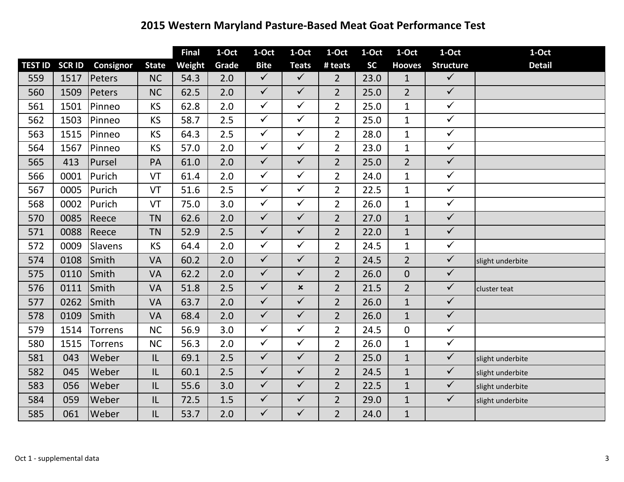## **2015 Western Maryland Pasture‐Based Meat Goat Performance Test**

|                |               |                |              | <b>Final</b> | 1-Oct | 1-Oct        | 1-Oct          | 1-Oct          | 1-Oct     | 1-Oct          | 1-Oct            | 1-Oct            |
|----------------|---------------|----------------|--------------|--------------|-------|--------------|----------------|----------------|-----------|----------------|------------------|------------------|
| <b>TEST ID</b> | <b>SCR ID</b> | Consignor      | <b>State</b> | Weight       | Grade | <b>Bite</b>  | <b>Teats</b>   | # teats        | <b>SC</b> | <b>Hooves</b>  | <b>Structure</b> | <b>Detail</b>    |
| 559            | 1517          | Peters         | <b>NC</b>    | 54.3         | 2.0   | $\checkmark$ | $\checkmark$   | $2^{\circ}$    | 23.0      | $\mathbf{1}$   | $\checkmark$     |                  |
| 560            | 1509          | Peters         | <b>NC</b>    | 62.5         | 2.0   | $\checkmark$ | $\checkmark$   | $\overline{2}$ | 25.0      | $\overline{2}$ | $\sqrt{}$        |                  |
| 561            | 1501          | Pinneo         | <b>KS</b>    | 62.8         | 2.0   | $\checkmark$ | $\checkmark$   | $\overline{2}$ | 25.0      | $\mathbf{1}$   | $\checkmark$     |                  |
| 562            | 1503          | Pinneo         | <b>KS</b>    | 58.7         | 2.5   | $\checkmark$ | $\checkmark$   | $\overline{2}$ | 25.0      | $\mathbf{1}$   | $\checkmark$     |                  |
| 563            | 1515          | Pinneo         | <b>KS</b>    | 64.3         | 2.5   | $\checkmark$ | $\checkmark$   | $\overline{2}$ | 28.0      | $\mathbf{1}$   | $\checkmark$     |                  |
| 564            | 1567          | Pinneo         | <b>KS</b>    | 57.0         | 2.0   | $\checkmark$ | $\checkmark$   | $\overline{2}$ | 23.0      | $\mathbf{1}$   | $\checkmark$     |                  |
| 565            | 413           | Pursel         | PA           | 61.0         | 2.0   | $\checkmark$ | $\checkmark$   | $\overline{2}$ | 25.0      | $\overline{2}$ | $\sqrt{}$        |                  |
| 566            | 0001          | Purich         | VT           | 61.4         | 2.0   | $\checkmark$ | $\checkmark$   | $\overline{2}$ | 24.0      | $\mathbf{1}$   | $\checkmark$     |                  |
| 567            | 0005          | Purich         | VT           | 51.6         | 2.5   | $\checkmark$ | $\checkmark$   | $\overline{2}$ | 22.5      | $\mathbf{1}$   | $\checkmark$     |                  |
| 568            | 0002          | Purich         | VT           | 75.0         | 3.0   | $\checkmark$ | $\checkmark$   | $\overline{2}$ | 26.0      | $\mathbf{1}$   | $\checkmark$     |                  |
| 570            | 0085          | Reece          | <b>TN</b>    | 62.6         | 2.0   | $\checkmark$ | $\checkmark$   | $\overline{2}$ | 27.0      | $\mathbf{1}$   | $\checkmark$     |                  |
| 571            | 0088          | Reece          | <b>TN</b>    | 52.9         | 2.5   | $\checkmark$ | $\checkmark$   | $\overline{2}$ | 22.0      | $\mathbf{1}$   | $\checkmark$     |                  |
| 572            | 0009          | Slavens        | <b>KS</b>    | 64.4         | 2.0   | $\checkmark$ | $\checkmark$   | $\overline{2}$ | 24.5      | $\mathbf{1}$   | $\checkmark$     |                  |
| 574            | 0108          | Smith          | <b>VA</b>    | 60.2         | 2.0   | $\checkmark$ | $\checkmark$   | $\overline{2}$ | 24.5      | $\overline{2}$ | $\checkmark$     | slight underbite |
| 575            | 0110          | Smith          | VA           | 62.2         | 2.0   | $\checkmark$ | $\checkmark$   | $\overline{2}$ | 26.0      | $\overline{0}$ | $\checkmark$     |                  |
| 576            | 0111          | Smith          | <b>VA</b>    | 51.8         | 2.5   | $\checkmark$ | $\pmb{\times}$ | $\overline{2}$ | 21.5      | $\overline{2}$ | $\checkmark$     | cluster teat     |
| 577            | 0262          | Smith          | <b>VA</b>    | 63.7         | 2.0   | $\checkmark$ | $\checkmark$   | $\overline{2}$ | 26.0      | $\mathbf{1}$   | $\checkmark$     |                  |
| 578            | 0109          | Smith          | <b>VA</b>    | 68.4         | 2.0   | $\checkmark$ | $\checkmark$   | $\overline{2}$ | 26.0      | $\mathbf{1}$   | $\checkmark$     |                  |
| 579            | 1514          | <b>Torrens</b> | <b>NC</b>    | 56.9         | 3.0   | $\checkmark$ | $\checkmark$   | $\overline{2}$ | 24.5      | $\overline{0}$ | $\checkmark$     |                  |
| 580            | 1515          | <b>Torrens</b> | <b>NC</b>    | 56.3         | 2.0   | $\checkmark$ | $\checkmark$   | $\overline{2}$ | 26.0      | $\mathbf{1}$   | $\checkmark$     |                  |
| 581            | 043           | Weber          | IL           | 69.1         | 2.5   | $\checkmark$ | $\checkmark$   | $\overline{2}$ | 25.0      | $\mathbf{1}$   | $\checkmark$     | slight underbite |
| 582            | 045           | Weber          | IL           | 60.1         | 2.5   | $\checkmark$ | $\checkmark$   | $\overline{2}$ | 24.5      | $\mathbf{1}$   | $\checkmark$     | slight underbite |
| 583            | 056           | Weber          | IL           | 55.6         | 3.0   | $\checkmark$ | $\checkmark$   | $\overline{2}$ | 22.5      | $\mathbf{1}$   | $\checkmark$     | slight underbite |
| 584            | 059           | Weber          | IL           | 72.5         | 1.5   | $\checkmark$ | $\checkmark$   | $\overline{2}$ | 29.0      | $\mathbf{1}$   | $\checkmark$     | slight underbite |
| 585            | 061           | Weber          | IL           | 53.7         | 2.0   | $\checkmark$ | $\checkmark$   | $\overline{2}$ | 24.0      | $\mathbf{1}$   |                  |                  |